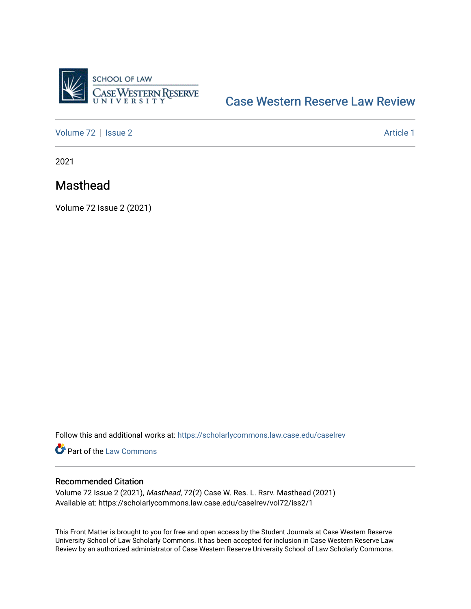

## [Case Western Reserve Law Review](https://scholarlycommons.law.case.edu/caselrev)

[Volume 72](https://scholarlycommons.law.case.edu/caselrev/vol72) | [Issue 2](https://scholarlycommons.law.case.edu/caselrev/vol72/iss2) Article 1

2021

## Masthead

Volume 72 Issue 2 (2021)

Follow this and additional works at: [https://scholarlycommons.law.case.edu/caselrev](https://scholarlycommons.law.case.edu/caselrev?utm_source=scholarlycommons.law.case.edu%2Fcaselrev%2Fvol72%2Fiss2%2F1&utm_medium=PDF&utm_campaign=PDFCoverPages)

Part of the [Law Commons](https://network.bepress.com/hgg/discipline/578?utm_source=scholarlycommons.law.case.edu%2Fcaselrev%2Fvol72%2Fiss2%2F1&utm_medium=PDF&utm_campaign=PDFCoverPages)

## Recommended Citation

Volume 72 Issue 2 (2021), Masthead, 72(2) Case W. Res. L. Rsrv. Masthead (2021) Available at: https://scholarlycommons.law.case.edu/caselrev/vol72/iss2/1

This Front Matter is brought to you for free and open access by the Student Journals at Case Western Reserve University School of Law Scholarly Commons. It has been accepted for inclusion in Case Western Reserve Law Review by an authorized administrator of Case Western Reserve University School of Law Scholarly Commons.